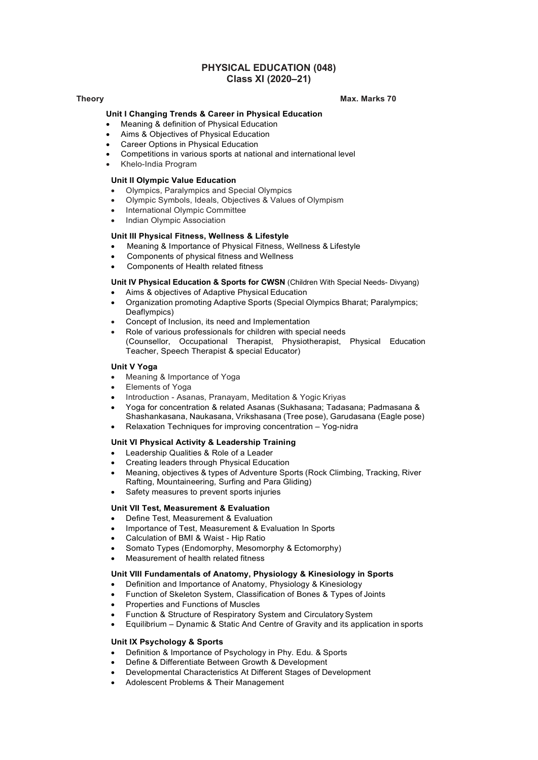## PHYSICAL EDUCATION (048) Class XI (2020–21)

### Theory Max. Marks 70

### Unit I Changing Trends & Career in Physical Education

- Meaning & definition of Physical Education
- Aims & Objectives of Physical Education
- Career Options in Physical Education
- Competitions in various sports at national and international level
- Khelo-India Program

### Unit II Olympic Value Education

- Olympics, Paralympics and Special Olympics
- Olympic Symbols, Ideals, Objectives & Values of Olympism
- International Olympic Committee
- Indian Olympic Association

### Unit III Physical Fitness, Wellness & Lifestyle

- Meaning & Importance of Physical Fitness, Wellness & Lifestyle
- Components of physical fitness and Wellness
- Components of Health related fitness

### Unit IV Physical Education & Sports for CWSN (Children With Special Needs- Divyang)

- Aims & objectives of Adaptive Physical Education
- Organization promoting Adaptive Sports (Special Olympics Bharat; Paralympics; Deaflympics)
- Concept of Inclusion, its need and Implementation
- Role of various professionals for children with special needs (Counsellor, Occupational Therapist, Physiotherapist, Physical Education Teacher, Speech Therapist & special Educator)

### Unit V Yoga

- Meaning & Importance of Yoga
- Elements of Yoga
- Introduction Asanas, Pranayam, Meditation & Yogic Kriyas
- Yoga for concentration & related Asanas (Sukhasana; Tadasana; Padmasana & Shashankasana, Naukasana, Vrikshasana (Tree pose), Garudasana (Eagle pose)
- Relaxation Techniques for improving concentration Yog-nidra

### Unit VI Physical Activity & Leadership Training

- Leadership Qualities & Role of a Leader
- Creating leaders through Physical Education
- Meaning, objectives & types of Adventure Sports (Rock Climbing, Tracking, River Rafting, Mountaineering, Surfing and Para Gliding)
- Safety measures to prevent sports injuries

### Unit VII Test, Measurement & Evaluation

- Define Test, Measurement & Evaluation
- Importance of Test, Measurement & Evaluation In Sports
- Calculation of BMI & Waist Hip Ratio
- Somato Types (Endomorphy, Mesomorphy & Ectomorphy)
- Measurement of health related fitness

### Unit VIII Fundamentals of Anatomy, Physiology & Kinesiology in Sports

- Definition and Importance of Anatomy, Physiology & Kinesiology
- Function of Skeleton System, Classification of Bones & Types of Joints
- Properties and Functions of Muscles
- Function & Structure of Respiratory System and Circulatory System
- Equilibrium Dynamic & Static And Centre of Gravity and its application in sports

### Unit IX Psychology & Sports

- Definition & Importance of Psychology in Phy. Edu. & Sports
- Define & Differentiate Between Growth & Development
- Developmental Characteristics At Different Stages of Development
- Adolescent Problems & Their Management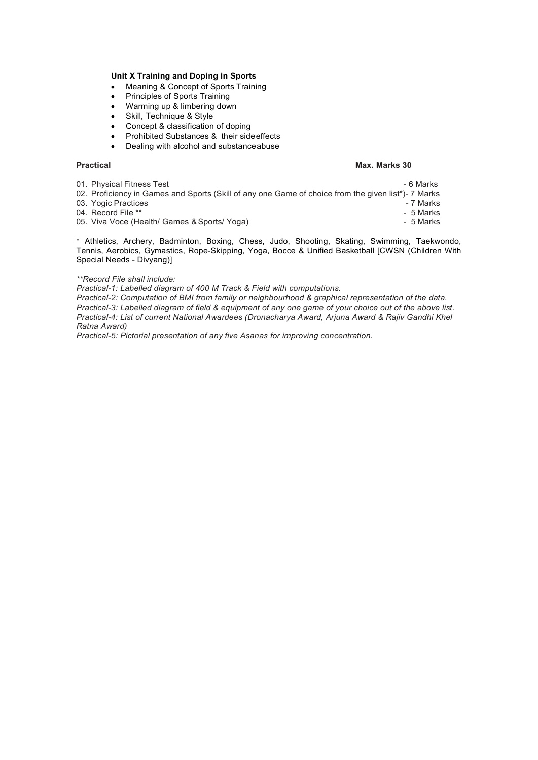### Unit X Training and Doping in Sports

- Meaning & Concept of Sports Training
- Principles of Sports Training
- Warming up & limbering down
- Skill, Technique & Style
- Concept & classification of doping
- Prohibited Substances & their side effects
- Dealing with alcohol and substance abuse

### Practical and the control of the control of the control of the Max. Marks 30 **Max. Marks 30**

01. Physical Fitness Test - 6 Marks - 6 Marks - 6 Marks - 6 Marks - 6 Marks - 6 Marks - 6 Marks - 6 Marks - 6 Marks - 6 Marks - 6 Marks - 6 Marks - 6 Marks - 6 Marks - 6 Marks - 6 Marks - 6 Marks - 6 Marks - 6 Marks - 6 Ma

- 02. Proficiency in Games and Sports (Skill of any one Game of choice from the given list\*)- 7 Marks<br>03. Yogic Practices 7 Marks
- 03. Yogic Practices and the set of the set of the set of the set of the set of the set of the set of the set of the set of the set of the set of the set of the set of the set of the set of the set of the set of the set of
	-
	-

04. Record File \*\* <br>05. Viva Voce (Health/ Games & Sports/ Yoga) 4. The second service of the service of the SMarks 05. Viva Voce (Health/ Games & Sports/ Yoga)

\* Athletics, Archery, Badminton, Boxing, Chess, Judo, Shooting, Skating, Swimming, Taekwondo, Tennis, Aerobics, Gymastics, Rope-Skipping, Yoga, Bocce & Unified Basketball [CWSN (Children With Special Needs - Divyang)]

### \*\*Record File shall include:

Practical-1: Labelled diagram of 400 M Track & Field with computations.

Practical-2: Computation of BMI from family or neighbourhood & graphical representation of the data. Practical-3: Labelled diagram of field & equipment of any one game of your choice out of the above list. Practical-4: List of current National Awardees (Dronacharya Award, Arjuna Award & Rajiv Gandhi Khel Ratna Award)

Practical-5: Pictorial presentation of any five Asanas for improving concentration.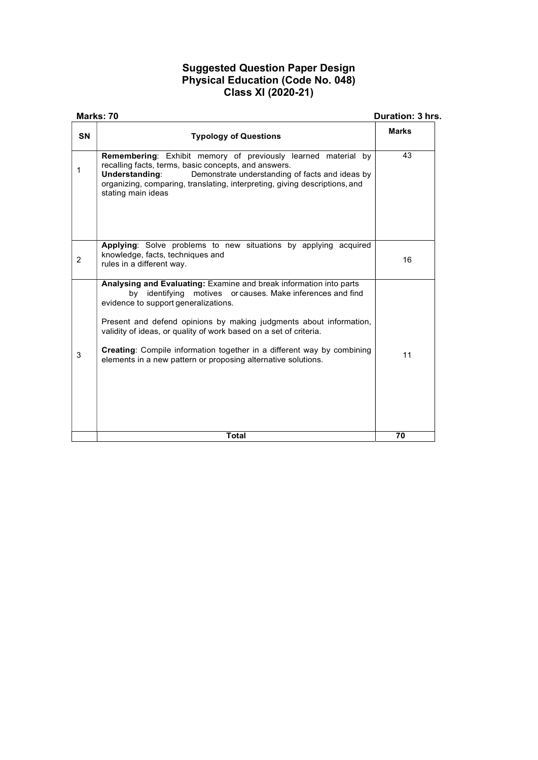# Suggested Question Paper Design Physical Education (Code No. 048) Class XI (2020-21)

| Marks: 70                                                          |                                                                                                                                                                                                                                                                                                                                                                                                                                                                       | Duration: 3 hrs. |  |
|--------------------------------------------------------------------|-----------------------------------------------------------------------------------------------------------------------------------------------------------------------------------------------------------------------------------------------------------------------------------------------------------------------------------------------------------------------------------------------------------------------------------------------------------------------|------------------|--|
| <b>SN</b>                                                          | <b>Typology of Questions</b>                                                                                                                                                                                                                                                                                                                                                                                                                                          | <b>Marks</b>     |  |
| $\mathbf{1}$<br>Understanding:<br>stating main ideas               | <b>Remembering:</b> Exhibit memory of previously learned material by<br>recalling facts, terms, basic concepts, and answers.<br>Demonstrate understanding of facts and ideas by<br>organizing, comparing, translating, interpreting, giving descriptions, and                                                                                                                                                                                                         | 43               |  |
| knowledge, facts, techniques and<br>2<br>rules in a different way. | Applying: Solve problems to new situations by applying acquired                                                                                                                                                                                                                                                                                                                                                                                                       | 16               |  |
| 3                                                                  | Analysing and Evaluating: Examine and break information into parts<br>by identifying motives or causes. Make inferences and find<br>evidence to support generalizations.<br>Present and defend opinions by making judgments about information,<br>validity of ideas, or quality of work based on a set of criteria.<br><b>Creating:</b> Compile information together in a different way by combining<br>elements in a new pattern or proposing alternative solutions. | 11               |  |
|                                                                    | <b>Total</b>                                                                                                                                                                                                                                                                                                                                                                                                                                                          | 70               |  |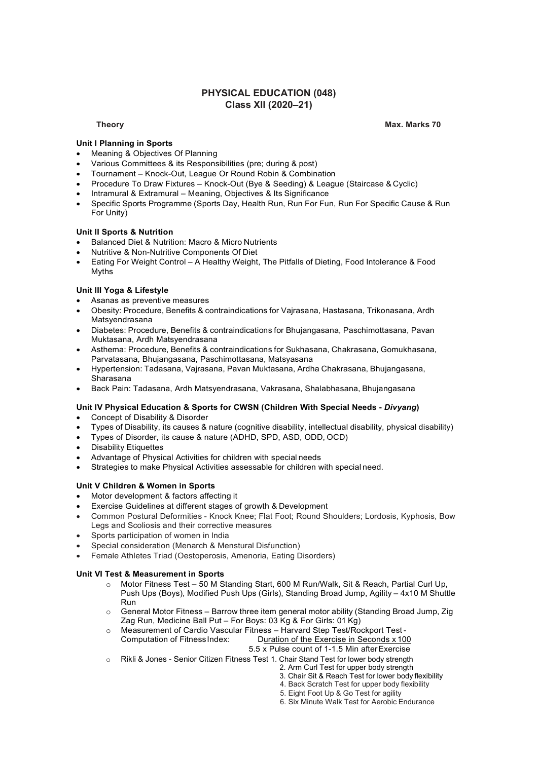## PHYSICAL EDUCATION (048) Class XII (2020–21)

Theory Max. Marks 70

## Unit I Planning in Sports

- Meaning & Objectives Of Planning
- Various Committees & its Responsibilities (pre; during & post)
- Tournament Knock-Out, League Or Round Robin & Combination
- Procedure To Draw Fixtures Knock-Out (Bye & Seeding) & League (Staircase & Cyclic)
- Intramural & Extramural Meaning, Objectives & Its Significance
- Specific Sports Programme (Sports Day, Health Run, Run For Fun, Run For Specific Cause & Run For Unity)

### Unit II Sports & Nutrition

- Balanced Diet & Nutrition: Macro & Micro Nutrients
- Nutritive & Non-Nutritive Components Of Diet
- Eating For Weight Control A Healthy Weight, The Pitfalls of Dieting, Food Intolerance & Food Myths

### Unit III Yoga & Lifestyle

- Asanas as preventive measures
- Obesity: Procedure, Benefits & contraindications for Vajrasana, Hastasana, Trikonasana, Ardh Matsyendrasana
- Diabetes: Procedure, Benefits & contraindications for Bhujangasana, Paschimottasana, Pavan Muktasana, Ardh Matsyendrasana
- Asthema: Procedure, Benefits & contraindications for Sukhasana, Chakrasana, Gomukhasana, Parvatasana, Bhujangasana, Paschimottasana, Matsyasana
- Hypertension: Tadasana, Vajrasana, Pavan Muktasana, Ardha Chakrasana, Bhujangasana, Sharasana
- Back Pain: Tadasana, Ardh Matsyendrasana, Vakrasana, Shalabhasana, Bhujangasana

### Unit IV Physical Education & Sports for CWSN (Children With Special Needs - Divyang)

- Concept of Disability & Disorder
- Types of Disability, its causes & nature (cognitive disability, intellectual disability, physical disability)
- Types of Disorder, its cause & nature (ADHD, SPD, ASD, ODD, OCD)
- Disability Etiquettes
- Advantage of Physical Activities for children with special needs
- Strategies to make Physical Activities assessable for children with special need.

### Unit V Children & Women in Sports

- Motor development & factors affecting it
- Exercise Guidelines at different stages of growth & Development
- Common Postural Deformities Knock Knee; Flat Foot; Round Shoulders; Lordosis, Kyphosis, Bow Legs and Scoliosis and their corrective measures
- Sports participation of women in India
- Special consideration (Menarch & Menstural Disfunction)
- Female Athletes Triad (Oestoperosis, Amenoria, Eating Disorders)

### Unit VI Test & Measurement in Sports

- o Motor Fitness Test 50 M Standing Start, 600 M Run/Walk, Sit & Reach, Partial Curl Up, Push Ups (Boys), Modified Push Ups (Girls), Standing Broad Jump, Agility – 4x10 M Shuttle **Run Run Run Run Run Run**
- o General Motor Fitness Barrow three item general motor ability (Standing Broad Jump, Zig Zag Run, Medicine Ball Put – For Boys: 03 Kg & For Girls: 01 Kg)
- o Measurement of Cardio Vascular Fitness Harvard Step Test/Rockport Test Duration of the Exercise in Seconds x 100

5.5 x Pulse count of 1-1.5 Min after Exercise

- o Rikli & Jones Senior Citizen Fitness Test 1. Chair Stand Test for lower body strength
	- 2. Arm Curl Test for upper body strength
	- 3. Chair Sit & Reach Test for lower body flexibility
	- 4. Back Scratch Test for upper body flexibility
	- 5. Eight Foot Up & Go Test for agility
	- 6. Six Minute Walk Test for Aerobic Endurance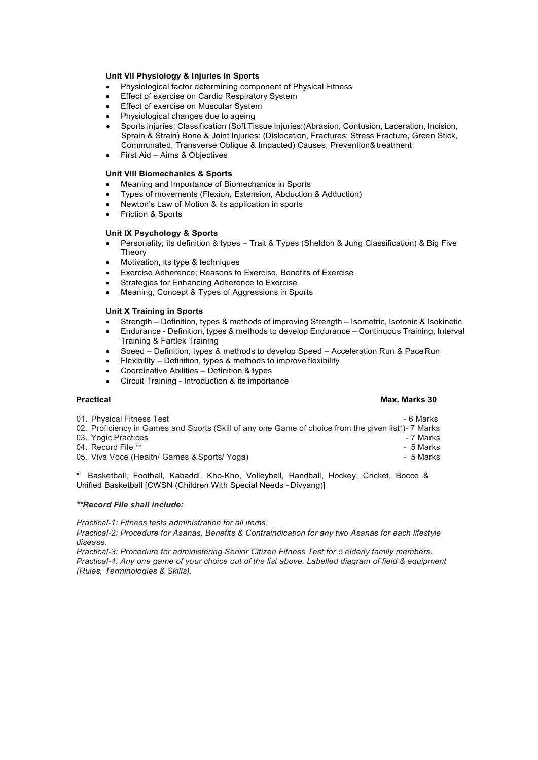### Unit VII Physiology & Injuries in Sports

- Physiological factor determining component of Physical Fitness
- Effect of exercise on Cardio Respiratory System
- Effect of exercise on Muscular System
- Physiological changes due to ageing

 Sports injuries: Classification (Soft Tissue Injuries:(Abrasion, Contusion, Laceration, Incision, Sprain & Strain) Bone & Joint Injuries: (Dislocation, Fractures: Stress Fracture, Green Stick, Communated, Transverse Oblique & Impacted) Causes, Prevention& treatment

First Aid – Aims & Objectives

### Unit VIII Biomechanics & Sports

- Meaning and Importance of Biomechanics in Sports
- Types of movements (Flexion, Extension, Abduction & Adduction)
- Newton's Law of Motion & its application in sports
- Friction & Sports

### Unit IX Psychology & Sports

- Personality; its definition & types Trait & Types (Sheldon & Jung Classification) & Big Five Theory
- Motivation, its type & techniques
- Exercise Adherence; Reasons to Exercise, Benefits of Exercise
- Strategies for Enhancing Adherence to Exercise
- Meaning, Concept & Types of Aggressions in Sports

### Unit X Training in Sports

- Strength Definition, types & methods of improving Strength Isometric, Isotonic & Isokinetic
- Endurance Definition, types & methods to develop Endurance Continuous Training, Interval Training & Fartlek Training
- Speed Definition, types & methods to develop Speed Acceleration Run & Pace Run
- Flexibility Definition, types & methods to improve flexibility
- Coordinative Abilities Definition & types
- Circuit Training Introduction & its importance

### Practical and the contraction of the contraction of the contraction of the contraction of the contraction of the contraction of the contraction of the contraction of the contraction of the contraction of the contraction of

- 01. Physical Fitness Test 6 Marks 6 Marks 6 Marks 6 Marks 6 Marks 6 Marks 6 Marks 6 Marks 6 Marks 6 Marks 6 Marks 6 Marks 6 Marks 6 Marks 6 Marks 6 Marks 6 Marks 6 Marks 6 Marks 6 Ma 02. Proficiency in Games and Sports (Skill of any one Game of choice from the given list\*)- 7 Marks 03. Yogic Practices - 7 Marks 04. Record File \*\*  $\overline{ }$  5 Marks
- 
- 05. Viva Voce (Health/ Games & Sports/ Yoga)  $\overline{\phantom{a}}$  5 Marks

\* Basketball, Football, Kabaddi, Kho-Kho, Volleyball, Handball, Hockey, Cricket, Bocce & Unified Basketball [CWSN (Children With Special Needs - Divyang)]

### \*\*Record File shall include:

Practical-1: Fitness tests administration for all items.

Practical-2: Procedure for Asanas, Benefits & Contraindication for any two Asanas for each lifestyle disease.

Practical-3: Procedure for administering Senior Citizen Fitness Test for 5 elderly family members. Practical-4: Any one game of your choice out of the list above. Labelled diagram of field & equipment (Rules, Terminologies & Skills).